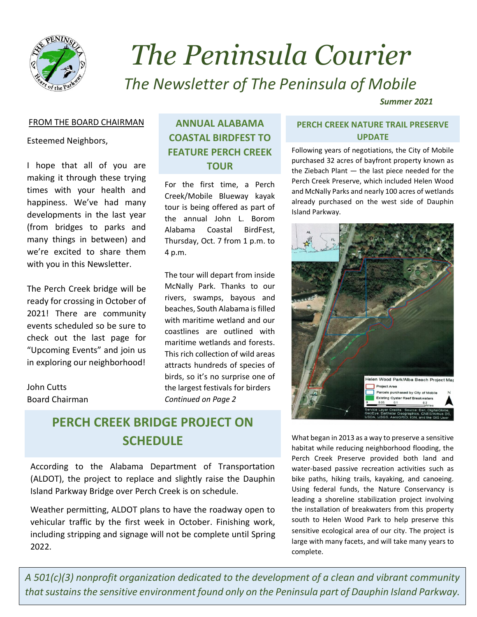

## *The Peninsula Courier The Newsletter of The Peninsula of Mobile*

*Summer 2021*

#### FROM THE BOARD CHAIRMAN

Esteemed Neighbors,

 I hope that all of you are making it through these trying times with your health and happiness. We've had many developments in the last year (from bridges to parks and many things in between) and we're excited to share them with you in this Newsletter.

The Perch Creek bridge will be ready for crossing in October of 2021! There are community events scheduled so be sure to check out the last page for "Upcoming Events" and join us in exploring our neighborhood!

John Cutts Board Chairman

### **ANNUAL ALABAMA COASTAL BIRDFEST TO FEATURE PERCH CREEK TOUR**

For the first time, a Perch Creek/Mobile Blueway kayak tour is being offered as part of the annual John L. Borom Alabama Coastal BirdFest, Thursday, Oct. 7 from 1 p.m. to 4 p.m.

The tour will depart from inside McNally Park. Thanks to our rivers, swamps, bayous and beaches, South Alabama is filled with maritime wetland and our coastlines are outlined with maritime wetlands and forests. This rich collection of wild areas attracts hundreds of species of birds, so it's no surprise one of the largest festivals for birders *Continued on Page 2*

## **PERCH CREEK BRIDGE PROJECT ON SCHEDULE**

According to the Alabama Department of Transportation (ALDOT), the project to replace and slightly raise the Dauphin Island Parkway Bridge over Perch Creek is on schedule.

Weather permitting, ALDOT plans to have the roadway open to vehicular traffic by the first week in October. Finishing work, including stripping and signage will not be complete until Spring 2022.

#### **PERCH CREEK NATURE TRAIL PRESERVE UPDATE**

Following years of negotiations, the City of Mobile purchased 32 acres of bayfront property known as the Ziebach Plant — the last piece needed for the Perch Creek Preserve, which included Helen Wood and McNally Parks and nearly 100 acres of wetlands already purchased on the west side of Dauphin Island Parkway.



What began in 2013 as a way to preserve a sensitive habitat while reducing neighborhood flooding, the Perch Creek Preserve provided both land and water-based passive recreation activities such as bike paths, hiking trails, kayaking, and canoeing. Using federal funds, the Nature Conservancy is leading a shoreline stabilization project involving the installation of breakwaters from this property south to Helen Wood Park to help preserve this sensitive ecological area of our city. The project is large with many facets, and will take many years to complete.

*A 501(c)(3) nonprofit organization dedicated to the development of a clean and vibrant community that sustains the sensitive environment found only on the Peninsula part of Dauphin Island Parkway.*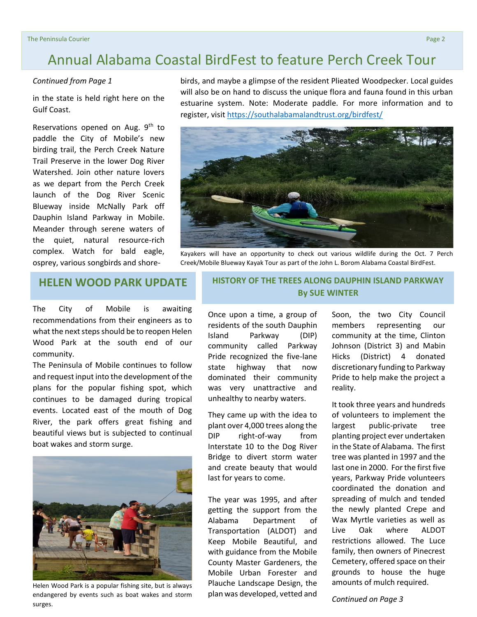## Annual Alabama Coastal BirdFest to feature Perch Creek Tour

#### *Continued from Page 1*

in the state is held right here on the Gulf Coast.

Reservations opened on Aug.  $9<sup>th</sup>$  to paddle the City of Mobile's new birding trail, the Perch Creek Nature Trail Preserve in the lower Dog River Watershed. Join other nature lovers as we depart from the Perch Creek launch of the Dog River Scenic Blueway inside McNally Park off Dauphin Island Parkway in Mobile. Meander through serene waters of the quiet, natural resource-rich complex. Watch for bald eagle, osprey, various songbirds and shorebirds, and maybe a glimpse of the resident Plieated Woodpecker. Local guides will also be on hand to discuss the unique flora and fauna found in this urban estuarine system. Note: Moderate paddle. For more information and to register, visi[t https://southalabamalandtrust.org/birdfest/](https://southalabamalandtrust.org/birdfest/)



Kayakers will have an opportunity to check out various wildlife during the Oct. 7 Perch Creek/Mobile Blueway Kayak Tour as part of the John L. Borom Alabama Coastal BirdFest.

The City of Mobile is awaiting recommendations from their engineers as to what the next steps should be to reopen Helen Wood Park at the south end of our community.

The Peninsula of Mobile continues to follow and request input into the development of the plans for the popular fishing spot, which continues to be damaged during tropical events. Located east of the mouth of Dog River, the park offers great fishing and beautiful views but is subjected to continual boat wakes and storm surge.



Helen Wood Park is a popular fishing site, but is always endangered by events such as boat wakes and storm surges.

**HELEN WOOD PARK UPDATE HISTORY OF THE TREES ALONG DAUPHIN ISLAND PARKWAY By SUE WINTER**

> Once upon a time, a group of residents of the south Dauphin Island Parkway (DIP) community called Parkway Pride recognized the five-lane state highway that now dominated their community was very unattractive and unhealthy to nearby waters.

> They came up with the idea to plant over 4,000 trees along the DIP right-of-way from Interstate 10 to the Dog River Bridge to divert storm water and create beauty that would last for years to come.

> The year was 1995, and after getting the support from the Alabama Department of Transportation (ALDOT) and Keep Mobile Beautiful, and with guidance from the Mobile County Master Gardeners, the Mobile Urban Forester and Plauche Landscape Design, the plan was developed, vetted and

Soon, the two City Council members representing our community at the time, Clinton Johnson (District 3) and Mabin Hicks (District) 4 donated discretionary funding to Parkway Pride to help make the project a reality.

It took three years and hundreds of volunteers to implement the largest public-private tree planting project ever undertaken in the State of Alabama. The first tree was planted in 1997 and the last one in 2000. For the first five years, Parkway Pride volunteers coordinated the donation and spreading of mulch and tended the newly planted Crepe and Wax Myrtle varieties as well as Live Oak where ALDOT restrictions allowed. The Luce family, then owners of Pinecrest Cemetery, offered space on their grounds to house the huge amounts of mulch required.

*Continued on Page 3*